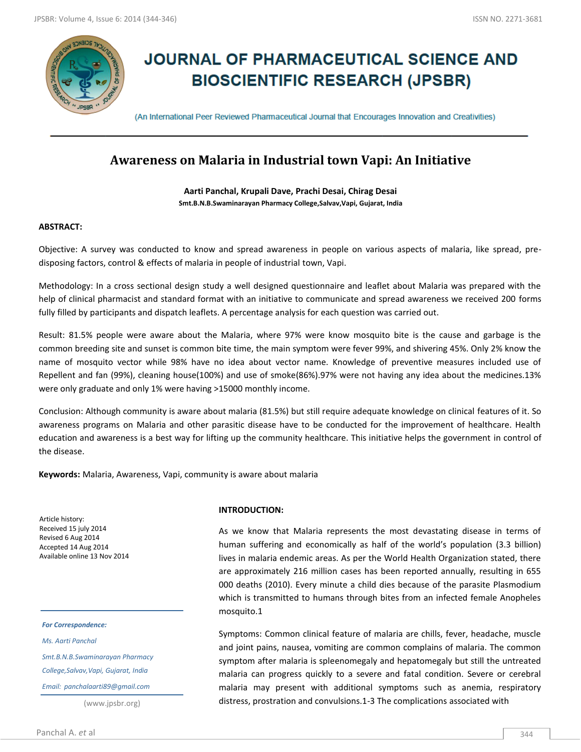

# **JOURNAL OF PHARMACEUTICAL SCIENCE AND BIOSCIENTIFIC RESEARCH (JPSBR)**

(An International Peer Reviewed Pharmaceutical Journal that Encourages Innovation and Creativities)

## **Awareness on Malaria in Industrial town Vapi: An Initiative**

**Aarti Panchal, Krupali Dave, Prachi Desai, Chirag Desai Smt.B.N.B.Swaminarayan Pharmacy College,Salvav,Vapi, Gujarat, India**

### **ABSTRACT:**

Objective: A survey was conducted to know and spread awareness in people on various aspects of malaria, like spread, predisposing factors, control & effects of malaria in people of industrial town, Vapi.

Methodology: In a cross sectional design study a well designed questionnaire and leaflet about Malaria was prepared with the help of clinical pharmacist and standard format with an initiative to communicate and spread awareness we received 200 forms fully filled by participants and dispatch leaflets. A percentage analysis for each question was carried out.

Result: 81.5% people were aware about the Malaria, where 97% were know mosquito bite is the cause and garbage is the common breeding site and sunset is common bite time, the main symptom were fever 99%, and shivering 45%. Only 2% know the name of mosquito vector while 98% have no idea about vector name. Knowledge of preventive measures included use of Repellent and fan (99%), cleaning house(100%) and use of smoke(86%).97% were not having any idea about the medicines.13% were only graduate and only 1% were having >15000 monthly income.

Conclusion: Although community is aware about malaria (81.5%) but still require adequate knowledge on clinical features of it. So awareness programs on Malaria and other parasitic disease have to be conducted for the improvement of healthcare. Health education and awareness is a best way for lifting up the community healthcare. This initiative helps the government in control of the disease.

**Keywords:** Malaria, Awareness, Vapi, community is aware about malaria

Article history: Received 15 july 2014 Revised 6 Aug 2014 Accepted 14 Aug 2014 Available online 13 Nov 2014

*For Correspondence:*

*Ms. Aarti Panchal*

*Smt.B.N.B.Swaminarayan Pharmacy* 

*College,Salvav,Vapi, Gujarat, India*

*Email: panchalaarti89@gmail.com*

(www.jpsbr.org)

#### **INTRODUCTION:**

As we know that Malaria represents the most devastating disease in terms of human suffering and economically as half of the world's population (3.3 billion) lives in malaria endemic areas. As per the World Health Organization stated, there are approximately 216 million cases has been reported annually, resulting in 655 000 deaths (2010). Every minute a child dies because of the parasite Plasmodium which is transmitted to humans through bites from an infected female Anopheles mosquito.1

Symptoms: Common clinical feature of malaria are chills, fever, headache, muscle and joint pains, nausea, vomiting are common complains of malaria. The common symptom after malaria is spleenomegaly and hepatomegaly but still the untreated malaria can progress quickly to a severe and fatal condition. Severe or cerebral malaria may present with additional symptoms such as anemia, respiratory distress, prostration and convulsions.1-3 The complications associated with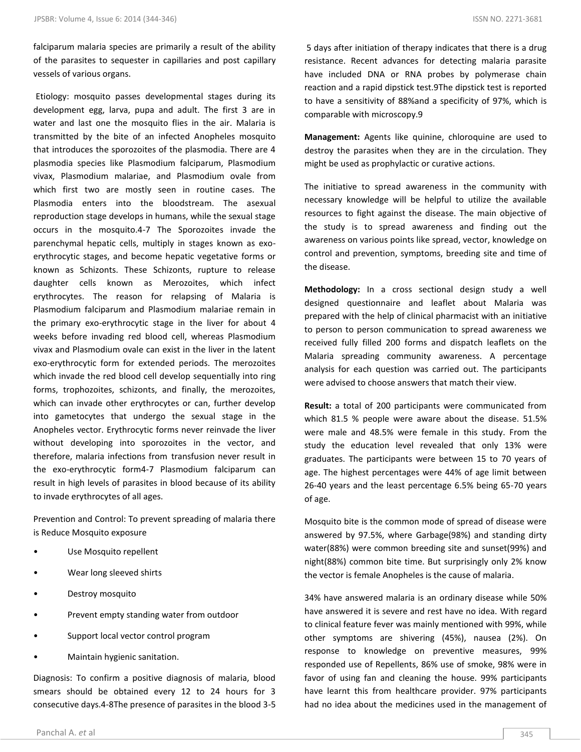falciparum malaria species are primarily a result of the ability of the parasites to sequester in capillaries and post capillary vessels of various organs.

Etiology: mosquito passes developmental stages during its development egg, larva, pupa and adult. The first 3 are in water and last one the mosquito flies in the air. Malaria is transmitted by the bite of an infected Anopheles mosquito that introduces the sporozoites of the plasmodia. There are 4 plasmodia species like Plasmodium falciparum, Plasmodium vivax, Plasmodium malariae, and Plasmodium ovale from which first two are mostly seen in routine cases. The Plasmodia enters into the bloodstream. The asexual reproduction stage develops in humans, while the sexual stage occurs in the mosquito.4-7 The Sporozoites invade the parenchymal hepatic cells, multiply in stages known as exoerythrocytic stages, and become hepatic vegetative forms or known as Schizonts. These Schizonts, rupture to release daughter cells known as Merozoites, which infect erythrocytes. The reason for relapsing of Malaria is Plasmodium falciparum and Plasmodium malariae remain in the primary exo-erythrocytic stage in the liver for about 4 weeks before invading red blood cell, whereas Plasmodium vivax and Plasmodium ovale can exist in the liver in the latent exo-erythrocytic form for extended periods. The merozoites which invade the red blood cell develop sequentially into ring forms, trophozoites, schizonts, and finally, the merozoites, which can invade other erythrocytes or can, further develop into gametocytes that undergo the sexual stage in the Anopheles vector. Erythrocytic forms never reinvade the liver without developing into sporozoites in the vector, and therefore, malaria infections from transfusion never result in the exo-erythrocytic form4-7 Plasmodium falciparum can result in high levels of parasites in blood because of its ability to invade erythrocytes of all ages.

Prevention and Control: To prevent spreading of malaria there is Reduce Mosquito exposure

- Use Mosquito repellent
- Wear long sleeved shirts
- Destroy mosquito
- Prevent empty standing water from outdoor
- Support local vector control program
- Maintain hygienic sanitation.

Diagnosis: To confirm a positive diagnosis of malaria, blood smears should be obtained every 12 to 24 hours for 3 consecutive days.4-8The presence of parasites in the blood 3-5

5 days after initiation of therapy indicates that there is a drug resistance. Recent advances for detecting malaria parasite have included DNA or RNA probes by polymerase chain reaction and a rapid dipstick test.9The dipstick test is reported to have a sensitivity of 88%and a specificity of 97%, which is comparable with microscopy.9

**Management:** Agents like quinine, chloroquine are used to destroy the parasites when they are in the circulation. They might be used as prophylactic or curative actions.

The initiative to spread awareness in the community with necessary knowledge will be helpful to utilize the available resources to fight against the disease. The main objective of the study is to spread awareness and finding out the awareness on various points like spread, vector, knowledge on control and prevention, symptoms, breeding site and time of the disease.

**Methodology:** In a cross sectional design study a well designed questionnaire and leaflet about Malaria was prepared with the help of clinical pharmacist with an initiative to person to person communication to spread awareness we received fully filled 200 forms and dispatch leaflets on the Malaria spreading community awareness. A percentage analysis for each question was carried out. The participants were advised to choose answers that match their view.

**Result:** a total of 200 participants were communicated from which 81.5 % people were aware about the disease. 51.5% were male and 48.5% were female in this study. From the study the education level revealed that only 13% were graduates. The participants were between 15 to 70 years of age. The highest percentages were 44% of age limit between 26-40 years and the least percentage 6.5% being 65-70 years of age.

Mosquito bite is the common mode of spread of disease were answered by 97.5%, where Garbage(98%) and standing dirty water(88%) were common breeding site and sunset(99%) and night(88%) common bite time. But surprisingly only 2% know the vector is female Anopheles is the cause of malaria.

34% have answered malaria is an ordinary disease while 50% have answered it is severe and rest have no idea. With regard to clinical feature fever was mainly mentioned with 99%, while other symptoms are shivering (45%), nausea (2%). On response to knowledge on preventive measures, 99% responded use of Repellents, 86% use of smoke, 98% were in favor of using fan and cleaning the house. 99% participants have learnt this from healthcare provider. 97% participants had no idea about the medicines used in the management of